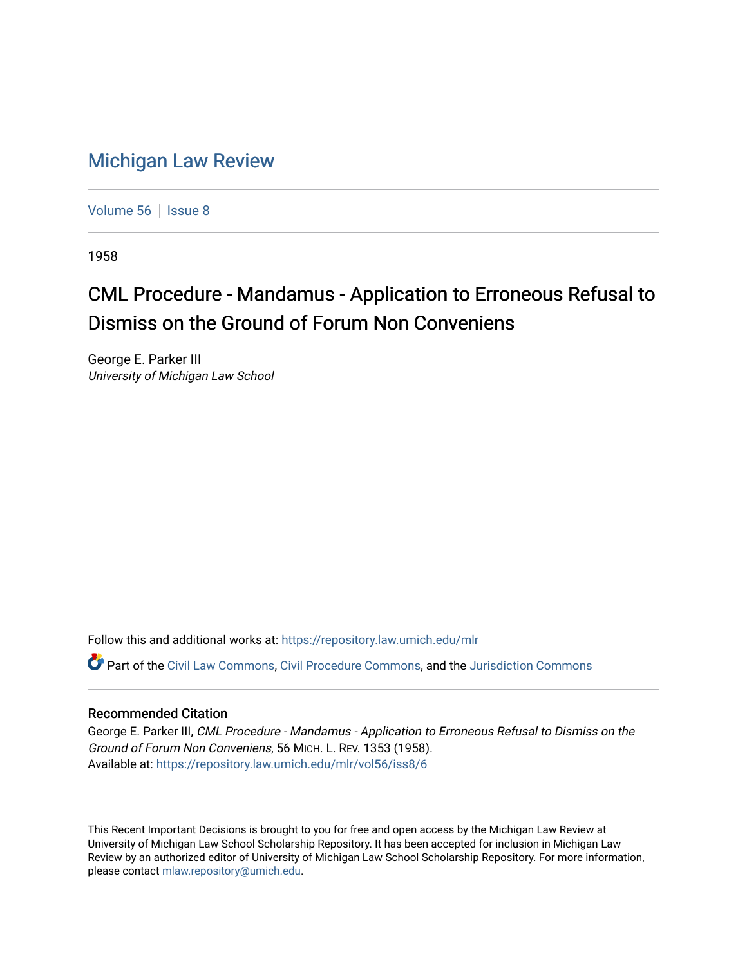## [Michigan Law Review](https://repository.law.umich.edu/mlr)

[Volume 56](https://repository.law.umich.edu/mlr/vol56) | [Issue 8](https://repository.law.umich.edu/mlr/vol56/iss8)

1958

# CML Procedure - Mandamus - Application to Erroneous Refusal to Dismiss on the Ground of Forum Non Conveniens

George E. Parker III University of Michigan Law School

Follow this and additional works at: [https://repository.law.umich.edu/mlr](https://repository.law.umich.edu/mlr?utm_source=repository.law.umich.edu%2Fmlr%2Fvol56%2Fiss8%2F6&utm_medium=PDF&utm_campaign=PDFCoverPages) 

Part of the [Civil Law Commons](http://network.bepress.com/hgg/discipline/835?utm_source=repository.law.umich.edu%2Fmlr%2Fvol56%2Fiss8%2F6&utm_medium=PDF&utm_campaign=PDFCoverPages), [Civil Procedure Commons,](http://network.bepress.com/hgg/discipline/584?utm_source=repository.law.umich.edu%2Fmlr%2Fvol56%2Fiss8%2F6&utm_medium=PDF&utm_campaign=PDFCoverPages) and the [Jurisdiction Commons](http://network.bepress.com/hgg/discipline/850?utm_source=repository.law.umich.edu%2Fmlr%2Fvol56%2Fiss8%2F6&utm_medium=PDF&utm_campaign=PDFCoverPages) 

### Recommended Citation

George E. Parker III, CML Procedure - Mandamus - Application to Erroneous Refusal to Dismiss on the Ground of Forum Non Conveniens, 56 MICH. L. REV. 1353 (1958). Available at: [https://repository.law.umich.edu/mlr/vol56/iss8/6](https://repository.law.umich.edu/mlr/vol56/iss8/6?utm_source=repository.law.umich.edu%2Fmlr%2Fvol56%2Fiss8%2F6&utm_medium=PDF&utm_campaign=PDFCoverPages)

This Recent Important Decisions is brought to you for free and open access by the Michigan Law Review at University of Michigan Law School Scholarship Repository. It has been accepted for inclusion in Michigan Law Review by an authorized editor of University of Michigan Law School Scholarship Repository. For more information, please contact [mlaw.repository@umich.edu.](mailto:mlaw.repository@umich.edu)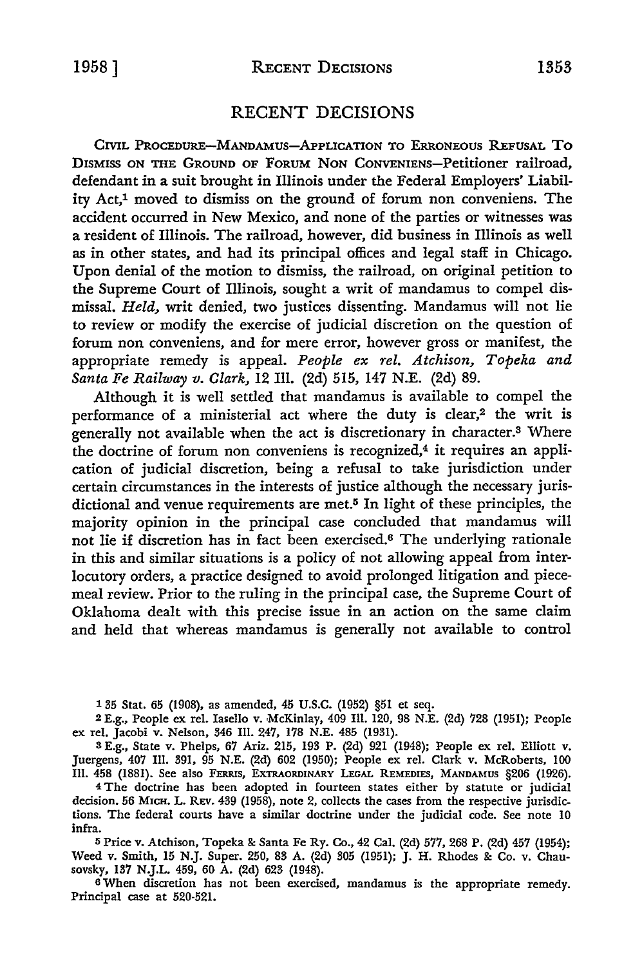#### RECENT DECISIONS

CIVIL PROCEDURE-MANDAMUS-APPLICATION TO ERRONEOUS REFUSAL TO DISMISS ON THE GROUND OF FORUM NON CONVENIENS-Petitioner railroad, defendant in a suit brought in Illinois under the Federal Employers' Liability Act,1 moved to dismiss on the ground of forum non conveniens. The accident occurred in New Mexico, and none of the parties or witnesses was a resident of Illinois. The railroad, however, did business in Illinois as well as in other states, and had its principal offices and legal staff in Chicago. Upon denial of the motion to dismiss, the railroad, on original petition to the Supreme Court of Illinois, sought a writ of mandamus to compel dismissal. *Held,* writ denied, two justices dissenting. Mandamus will not lie to review or modify the exercise of judicial discretion on the question of forum non conveniens, and for mere error, however gross or manifest, the appropriate remedy is appeal. *People ex rel. Atchison, Topeka and Santa Fe Railway v. Clark,* 12 Ill. (2d) 515, 147 N.E. (2d) 89.

Although it is well settled that mandamus is available to compel the performance of a ministerial act where the duty is clear,<sup>2</sup> the writ is generally not available when the act is discretionary in character.3 Where the doctrine of forum non conveniens is recognized, $4$  it requires an application of judicial discretion, being a refusal to take jurisdiction under certain circumstances in the interests of justice although the necessary jurisdictional and venue requirements are met.<sup>5</sup> In light of these principles, the majority opinion in the principal case concluded that mandamus will not lie if discretion has in fact been exercised.<sup>6</sup> The underlying rationale in this and similar situations is a policy of not allowing appeal from interlocutory orders, a practice designed to avoid prolonged litigation and piecemeal review. Prior to the ruling in the principal case, the Supreme Court of Oklahoma dealt with this precise issue in an action on the same claim and held that whereas mandamus is generally not available to control

1 35 Stat. 65 (1908), as amended, 45 U.S.C. (1952) §51 et seq.

<sup>2</sup>E.g., People ex rel. Iasello v. McKinlay, 409 Ill. 120, 98 N.E. (2d) 728 (1951); People ex rel. Jacobi v. Nelson, 346 Ill. 247, 178 N.E. 485 (1931).

3 E.g., State v. Phelps, 67 Ariz. 215, 193 P. (2d) 921 (1948); People ex rel. Elliott v. Juergens, 407 Ill. 391, 95 N.E. (2d) 602 (1950); People ex rel. Clark v. McRoberts, 100 Ill. 458 (1881). See also FERRIS, EXTRAORDINARY LEGAL REMEDIES, MANDAMUS §206 (1926).

<sup>4</sup>The doctrine has been adopted in fourteen states either by statute or judicial decision. 56 MICH. L. REv. 439 (1958), note 2, collects the cases from the respective jurisdictions. The federal courts have a similar doctrine under the judicial code. See note 10 infra.

5 Price v. Atchison, Topeka & Santa Fe Ry. Co., 42 Cal. (2d) 577, 268 P. (2d) 457 (1954); Weed v. Smith, 15 N.J. Super. 250, 83 A. (2d) 305 (1951); J. H. Rhodes & Co. v. Chausovsky, 137 N.J.L. 459, 60 A. (2d) 623 (1948).

6 When discretion has not been exercised, mandamus is the appropriate remedy. Principal case at 520-521.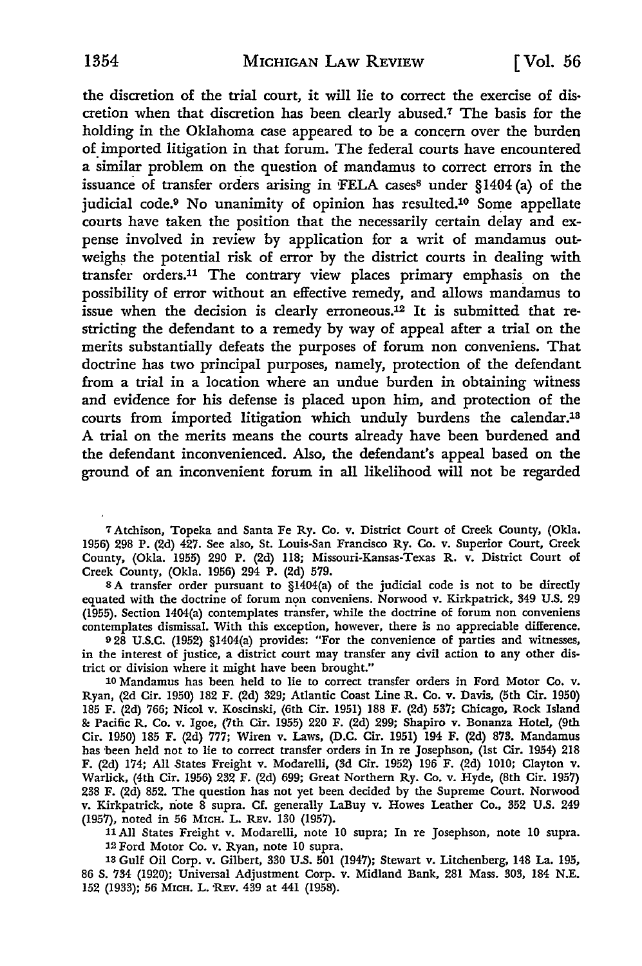the discretion of the trial court, it will lie to correct the exercise of discretion when that discretion has been clearly abused.7 The basis for the holding in the Oklahoma case appeared to be a concern over the burden of imported litigation in that forum. The federal courts have encountered a similar problem on the question of mandamus to correct errors in the issuance of transfer orders arising in FELA cases<sup>8</sup> under §1404 (a) of the judicial code.9 No unanimity of opinion has resulted.10 Some appellate courts have taken the position that the necessarily certain delay and expense involved in review by application for a writ of mandamus outweighs the potential risk of error by the district courts in dealing with transfer orders.11 The contrary view places primary emphasis\_ on the possibility of error without an effective remedy, and allows mandamus to issue when the decision is clearly erroneous.12 It is submitted that restricting the defendant to a remedy by way of appeal after a trial on the merits substantially defeats the purposes of forum non conveniens. That doctrine has two principal purposes, namely, protection of the defendant from a trial in a location where an undue burden in obtaining witness and evidence for his defense is placed upon him, and protection of the courts from imported litigation which unduly burdens the calendar.18 A trial on the merits means the courts already have been burdened and the defendant inconvenienced. Also, the defendant's appeal based on the ground of an inconvenient forum in all likelihood will not be regarded

7 Atchison, Topeka and Santa Fe Ry. Co. v. District Court of Creek County, (Okla. 1956) 298 P. (2d) 427. See also, St. Louis-San Francisco Ry. Co. v. Superior Court, Creek County, (Okla. 1955) 290 P. (2d) ll8; Missouri-Kansas-Texas R. v. District Court of Creek County, (Okla. 1956) 294 P. (2d) 579.

s A transfer order pursuant to §1404(a) of the judicial code is not to be directly equated with the doctrine of forum non conveniens. Norwood v. Kirkpatrick, 349 U.S. 29 (1955). Section 1404(a) contemplates transfer, while the doctrine of forum non conveniens contemplates dismissal. With this exception, however, there is no appreciable difference.

<sup>9</sup>28 U.S.C. (1952) §1404(a) provides: "For the convenience of parties and witnesses, in the interest of justice, a district court may transfer any civil action to any other district or division where it might have been brought."

10 Mandamus has been held to lie to correct transfer orders in Ford Motor Co. v. Ryan, (2d Cir. 1950) 182 F. (2d) 329; Atlantic Coast Line R. Co. v. Davis, (5th Cir. 1950) 185 F. (2d) 766; Nicol v. Koscinski, (6th Cir. 1951) 188 F. (2d) 537; Chicago, Rock Island & Pacific R. Co. v. Igoe, (7th Cir. 1955) 220 F. (2d) 299; Shapiro v. Bonanza Hotel, (9th Cir. 1950) 185 F. (2d) 777; Wiren v. Laws, (D.C. Cir. 1951) 194 F. (2d) 873. Mandamus has been held not to lie to correct transfer orders in In re Josephson, (1st Cir. 1954) 218 F. (2d) 174; All States Freight v. Modarelli, (3d Cir. 1952) 196 F. (2d) 1010; Clayton v. Warlick, (4th Cir. 1956) 232 F. (2d) 699; Great Northern Ry. Co. v. Hyde, (8th Cir. 1957) 238 F. (2d) 852. The question has not yet been decided by the Supreme Court. Norwood v. Kirkpatrick, riote 8 supra. Cf. generally LaBuy v. Howes Leather Co., 352 U.S. 249 (1957), noted in 56 MICH. L. REV. 130 (1957).

11 All States Freight v. Modarelli, note 10 supra; In re Josephson, note 10 supra. 12 Ford Motor Co. v. Ryan, note 10 supra.

13 Gulf Oil Corp. v. Gilbert, 330 U.S. 501 (1947); Stewart v. Litchenberg, 148 La. 195, 86 S. 734 (1920); Universal Adjustment Corp. v. Midland Bank, 281 Mass. 303, 184 N.E. 152 (1933); 56 MICH. L. REV. 439 at 441 (1958).